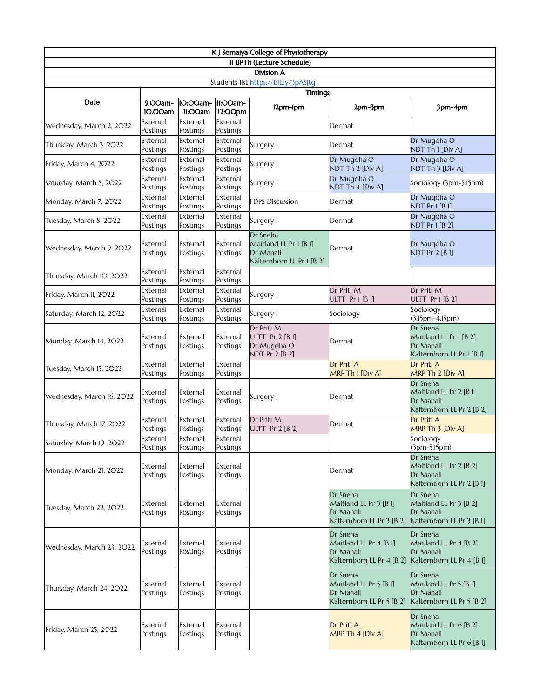| K J Somaiya College of Physiotherapy             |                      |                      |                      |                                                                              |                                                                              |                                                                              |  |
|--------------------------------------------------|----------------------|----------------------|----------------------|------------------------------------------------------------------------------|------------------------------------------------------------------------------|------------------------------------------------------------------------------|--|
| III BPTh (Lecture Schedule)<br><b>Division A</b> |                      |                      |                      |                                                                              |                                                                              |                                                                              |  |
| Students list https://bit.ly/3pASJtg             |                      |                      |                      |                                                                              |                                                                              |                                                                              |  |
| Date                                             | 9.00am-<br>IO.OOam   | 10:00am-<br>II:OOam  | 11:00am-<br>12:OOpm  | <b>Timings</b><br>12pm-1pm                                                   | 2pm-3pm                                                                      | 3pm-4pm                                                                      |  |
| Wednesday, March 2, 2022                         | External<br>Postings | External<br>Postings | External<br>Postings |                                                                              | Dermat                                                                       |                                                                              |  |
| Thursday, March 3, 2022                          | External<br>Postings | External<br>Postings | External<br>Postings | Surgery I                                                                    | Dermat                                                                       | Dr Mugdha O<br>NDT Th I [Div A]                                              |  |
| Friday, March 4, 2022                            | External<br>Postings | External<br>Postings | External<br>Postings | Surgery I                                                                    | Dr Mugdha O<br>NDT Th 2 [Div A]                                              | Dr Mugdha O<br>NDT Th 3 [Div A]                                              |  |
| Saturday, March 5, 2022                          | External<br>Postings | External<br>Postings | External<br>Postings | Surgery I                                                                    | Dr Mugdha O<br>NDT Th 4 [Div A]                                              | Sociology (3pm-5.15pm)                                                       |  |
| Monday, March 7, 2022                            | External<br>Postings | External<br>Postings | External<br>Postings | <b>FDPS Discussion</b>                                                       | Dermat                                                                       | Dr Mugdha O<br>NDT Pr 1 [B 1]                                                |  |
| Tuesday, March 8, 2022                           | External<br>Postings | External<br>Postings | External<br>Postings | Surgery I                                                                    | Dermat                                                                       | Dr Mugdha O<br>NDT Pr 1 [B 2]                                                |  |
| Wednesday, March 9, 2022                         | External<br>Postings | External<br>Postings | External<br>Postings | Dr Sneha<br>Maitland LL Pr 1 [B I]<br>Dr Manali<br>Kalternborn LL Pr 1 [B 2] | Dermat                                                                       | Dr Mugdha O<br>NDT Pr 2 [B 1]                                                |  |
| Thursday, March IO, 2022                         | External<br>Postings | External<br>Postings | External<br>Postings |                                                                              |                                                                              |                                                                              |  |
| Friday, March II, 2022                           | External<br>Postings | External<br>Postings | External<br>Postings | Surgery I                                                                    | Dr Priti M<br><b>ULTT Pr 1 [B 1]</b>                                         | Dr Priti M<br>ULTT Pr 1 [B 2]                                                |  |
| Saturday, March 12, 2022                         | External<br>Postings | External<br>Postings | External<br>Postings | Surgery I                                                                    | Sociology                                                                    | Sociology<br>(3.15pm-4.15pm)                                                 |  |
| Monday, March 14, 2022                           | External<br>Postings | External<br>Postings | External<br>Postings | Dr Priti M<br>ULTT $Pr 2 [B 1]$<br>Dr Mugdha O<br>NDT Pr 2 [B 2]             | Dermat                                                                       | Dr Sneha<br>Maitland LL Pr 1 [B 2]<br>Dr Manali<br>Kalternborn LL Pr I [B I] |  |
| Tuesday, March 15, 2022                          | External<br>Postings | External<br>Postings | External<br>Postings |                                                                              | Dr Priti A<br>MRP Th I [Div A]                                               | Dr Priti A<br>MRP Th 2 [Div A]                                               |  |
| Wednesday, March 16, 2022                        | External<br>Postings | External<br>Postings | External<br>Postings | Surgery I                                                                    | Dermat                                                                       | Dr Sneha<br>Maitland LL Pr 2 [B I]<br>Dr Manali<br>Kalternborn LL Pr 2 [B 2] |  |
| Thursday, March 17, 2022                         | External<br>Postings | External<br>Postings | External<br>Postings | Dr Priti M<br>ULTT Pr 2 [B 2]                                                | Dermat                                                                       | Dr Priti A<br>MRP Th 3 [Div A]                                               |  |
| Saturday, March 19, 2022                         | External<br>Postings | External<br>Postings | External<br>Postings |                                                                              |                                                                              | Sociology<br>(3pm-5.15pm)                                                    |  |
| Monday, March 21, 2022                           | External<br>Postings | External<br>Postings | External<br>Postings |                                                                              | Dermat                                                                       | Dr Sneha<br>Maitland LL Pr 2 [B 2]<br>Dr Manali<br>Kalternborn LL Pr 2 [B I] |  |
| Tuesday, March 22, 2022                          | External<br>Postings | External<br>Postings | External<br>Postings |                                                                              | Dr Sneha<br>Maitland LL Pr 3 [B I]<br>Dr Manali<br>Kalternborn LL Pr 3 [B 2] | Dr Sneha<br>Maitland LL Pr 3 [B 2]<br>Dr Manali<br>Kalternborn LL Pr 3 [B I] |  |
| Wednesday, March 23, 2022                        | External<br>Postings | External<br>Postings | External<br>Postings |                                                                              | Dr Sneha<br>Maitland LL Pr 4 [B I]<br>Dr Manali<br>Kalternborn LL Pr 4 [B 2] | Dr Sneha<br>Maitland LL Pr 4 [B 2]<br>Dr Manali<br>Kalternborn LL Pr 4 [B I] |  |
| Thursday, March 24, 2022                         | External<br>Postings | External<br>Postings | External<br>Postings |                                                                              | Dr Sneha<br>Maitland LL Pr 5 [B I]<br>Dr Manali<br>Kalternborn LL Pr 5 [B 2] | Dr Sneha<br>Maitland LL Pr 5 [B I]<br>Dr Manali<br>Kalternborn LL Pr 5 [B 2] |  |
| Friday, March 25, 2022                           | External<br>Postings | External<br>Postings | External<br>Postings |                                                                              | Dr Priti A<br>MRP Th 4 [Div A]                                               | Dr Sneha<br>Maitland LL Pr 6 [B 2]<br>Dr Manali<br>Kalternborn LL Pr 6 [B I] |  |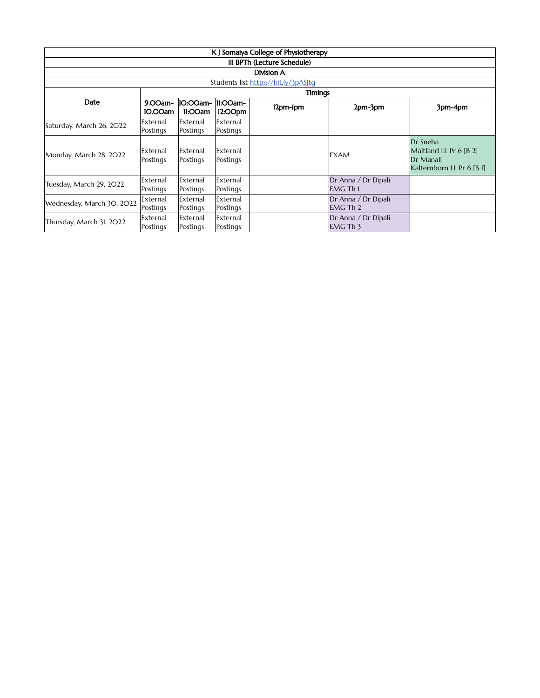| K J Somaiya College of Physiotherapy |                      |                      |                      |          |                                        |                                                                              |  |  |
|--------------------------------------|----------------------|----------------------|----------------------|----------|----------------------------------------|------------------------------------------------------------------------------|--|--|
| III BPTh (Lecture Schedule)          |                      |                      |                      |          |                                        |                                                                              |  |  |
| Division A                           |                      |                      |                      |          |                                        |                                                                              |  |  |
| Students list https://bit.ly/3pASJtq |                      |                      |                      |          |                                        |                                                                              |  |  |
|                                      | Timings              |                      |                      |          |                                        |                                                                              |  |  |
| Date                                 | 9.00am-<br>IO.OOam   | 10:00am-<br>11:00am  | 11:00am-<br>12:OOpm  | 12pm-1pm | 2pm-3pm                                | 3pm-4pm                                                                      |  |  |
| Saturday, March 26, 2022             | External<br>Postings | External<br>Postings | External<br>Postings |          |                                        |                                                                              |  |  |
| Monday, March 28, 2022               | External<br>Postings | External<br>Postings | External<br>Postings |          | <b>EXAM</b>                            | Dr Sneha<br>Maitland LL Pr 6 [B 2]<br>Dr Manali<br>Kalternborn LL Pr 6 [B 1] |  |  |
| Tuesday, March 29, 2022              | External<br>Postings | External<br>Postings | External<br>Postings |          | Dr Anna / Dr Dipali<br><b>EMG Th I</b> |                                                                              |  |  |
| Wednesday, March 30, 2022            | External<br>Postings | External<br>Postings | External<br>Postings |          | Dr Anna / Dr Dipali<br><b>EMG Th 2</b> |                                                                              |  |  |
| Thursday, March 31, 2022             | External<br>Postings | External<br>Postings | External<br>Postings |          | Dr Anna / Dr Dipali<br><b>EMG Th 3</b> |                                                                              |  |  |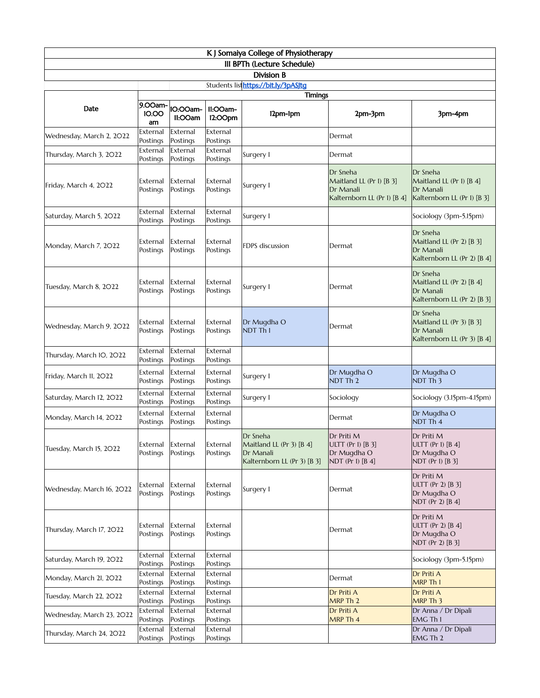| K J Somaiya College of Physiotherapy |  |  |  |  |  |
|--------------------------------------|--|--|--|--|--|
| III BPTh (Lecture Schedule)          |  |  |  |  |  |
| Division B                           |  |  |  |  |  |
| Students listhttps://bit.ly/3pASJtg  |  |  |  |  |  |

|                           | <b>Timings</b>                |                      |                      |                                                                                  |                                                                                  |                                                                                  |  |  |
|---------------------------|-------------------------------|----------------------|----------------------|----------------------------------------------------------------------------------|----------------------------------------------------------------------------------|----------------------------------------------------------------------------------|--|--|
| Date                      | 9.00am-<br>10.00<br>am        | 10:00am-<br>II:OOam  | 11:OOam-<br>12:OOpm  | 12pm-1pm                                                                         | 2pm-3pm                                                                          | 3pm-4pm                                                                          |  |  |
| Wednesday, March 2, 2022  | External<br>Postings          | External<br>Postings | External<br>Postings |                                                                                  | Dermat                                                                           |                                                                                  |  |  |
| Thursday, March 3, 2022   | External<br>Postings          | External<br>Postings | External<br>Postings | Surgery I                                                                        | Dermat                                                                           |                                                                                  |  |  |
| Friday, March 4, 2022     | External<br>Postings          | External<br>Postings | External<br>Postings | Surgery I                                                                        | Dr Sneha<br>Maitland LL (Pr I) [B 3]<br>Dr Manali<br>Kalternborn LL (Pr I) [B 4] | Dr Sneha<br>Maitland LL (Pr I) [B 4]<br>Dr Manali<br>Kalternborn LL (Pr I) [B 3] |  |  |
| Saturday, March 5, 2022   | External<br>Postings          | External<br>Postings | External<br>Postings | Surgery I                                                                        |                                                                                  | Sociology (3pm-5.15pm)                                                           |  |  |
| Monday, March 7, 2022     | External<br>Postings          | External<br>Postings | External<br>Postings | FDPS discussion                                                                  | Dermat                                                                           | Dr Sneha<br>Maitland LL (Pr 2) [B 3]<br>Dr Manali<br>Kalternborn LL (Pr 2) [B 4] |  |  |
| Tuesday, March 8, 2022    | External<br>Postings          | External<br>Postings | External<br>Postings | Surgery I                                                                        | Dermat                                                                           | Dr Sneha<br>Maitland LL (Pr 2) [B 4]<br>Dr Manali<br>Kalternborn LL (Pr 2) [B 3] |  |  |
| Wednesday, March 9, 2022  | External<br>Postings          | External<br>Postings | External<br>Postings | Dr Mugdha O<br>NDT Th I                                                          | Dermat                                                                           | Dr Sneha<br>Maitland LL (Pr 3) [B 3]<br>Dr Manali<br>Kalternborn LL (Pr 3) [B 4] |  |  |
| Thursday, March IO, 2022  | External<br>Postings          | External<br>Postings | External<br>Postings |                                                                                  |                                                                                  |                                                                                  |  |  |
| Friday, March II, 2022    | External<br>Postings          | External<br>Postings | External<br>Postings | Surgery I                                                                        | Dr Mugdha O<br>NDT Th <sub>2</sub>                                               | Dr Mugdha O<br>NDT Th <sub>3</sub>                                               |  |  |
| Saturday, March 12, 2022  | External<br>Postings          | External<br>Postings | External<br>Postings | Surgery I                                                                        | Sociology                                                                        | Sociology (3.15pm-4.15pm)                                                        |  |  |
| Monday, March 14, 2022    | External<br>Postings          | External<br>Postings | External<br>Postings |                                                                                  | Dermat                                                                           | Dr Mugdha O<br>NDT Th 4                                                          |  |  |
| Tuesday, March 15, 2022   | External<br>Postings          | External<br>Postings | External<br>Postings | Dr Sneha<br>Maitland LL (Pr 3) [B 4]<br>Dr Manali<br>Kalternborn LL (Pr 3) [B 3] | Dr Priti M<br>ULTT (Pr I) [B 3]<br>Dr Mugdha O<br>NDT (Pr I) $[B 4]$             | Dr Priti M<br>ULTT (Pr I) $[B 4]$<br>Dr Mugdha O<br>NDT (Pr I) [B 3]             |  |  |
| Wednesday, March 16, 2022 | External External<br>Postings | Postings             | External<br>Postings | Surgery I                                                                        | Dermat                                                                           | Dr Priti M<br>ULTT (Pr 2) $[B 3]$<br>Dr Mugdha O<br>NDT (Pr 2) [B 4]             |  |  |
| Thursday, March 17, 2022  | External<br>Postings          | External<br>Postings | External<br>Postings |                                                                                  | Dermat                                                                           | Dr Priti M<br>ULTT (Pr 2) [B 4]<br>Dr Mugdha O<br>NDT (Pr 2) [B 3]               |  |  |
| Saturday, March 19, 2022  | External<br>Postings          | External<br>Postings | External<br>Postings |                                                                                  |                                                                                  | Sociology (3pm-5.15pm)                                                           |  |  |
| Monday, March 21, 2022    | External<br>Postings          | External<br>Postings | External<br>Postings |                                                                                  | Dermat                                                                           | Dr Priti A<br>MRP Th I                                                           |  |  |
| Tuesday, March 22, 2022   | External<br>Postings          | External<br>Postings | External<br>Postings |                                                                                  | Dr Priti A<br>MRP Th 2                                                           | Dr Priti A<br>MRP Th 3                                                           |  |  |
| Wednesday, March 23, 2022 | External<br>Postings          | External<br>Postings | External<br>Postings |                                                                                  | Dr Priti A<br>MRP Th 4                                                           | Dr Anna / Dr Dipali<br><b>EMG Th I</b>                                           |  |  |
| Thursday, March 24, 2022  | External<br>Postings          | External<br>Postings | External<br>Postings |                                                                                  |                                                                                  | Dr Anna / Dr Dipali<br>EMG Th 2                                                  |  |  |